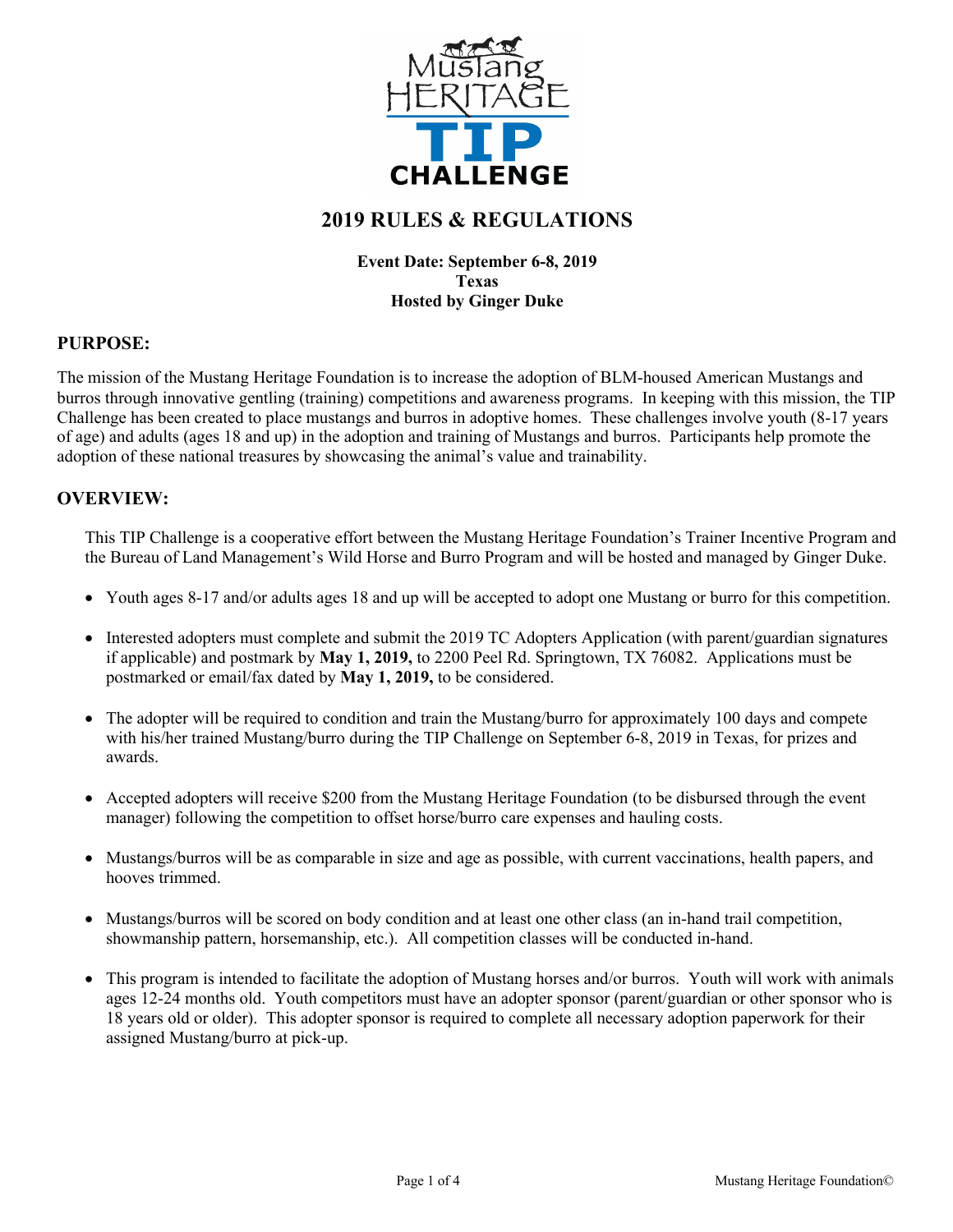

# **2019 RULES & REGULATIONS**

#### **Event Date: September 6-8, 2019 Texas Hosted by Ginger Duke**

### **PURPOSE:**

The mission of the Mustang Heritage Foundation is to increase the adoption of BLM-housed American Mustangs and burros through innovative gentling (training) competitions and awareness programs. In keeping with this mission, the TIP Challenge has been created to place mustangs and burros in adoptive homes. These challenges involve youth (8-17 years of age) and adults (ages 18 and up) in the adoption and training of Mustangs and burros. Participants help promote the adoption of these national treasures by showcasing the animal's value and trainability.

#### **OVERVIEW:**

This TIP Challenge is a cooperative effort between the Mustang Heritage Foundation's Trainer Incentive Program and the Bureau of Land Management's Wild Horse and Burro Program and will be hosted and managed by Ginger Duke.

- Youth ages 8-17 and/or adults ages 18 and up will be accepted to adopt one Mustang or burro for this competition.
- Interested adopters must complete and submit the 2019 TC Adopters Application (with parent/guardian signatures if applicable) and postmark by **May 1, 2019,** to 2200 Peel Rd. Springtown, TX 76082. Applications must be postmarked or email/fax dated by **May 1, 2019,** to be considered.
- The adopter will be required to condition and train the Mustang/burro for approximately 100 days and compete with his/her trained Mustang/burro during the TIP Challenge on September 6-8, 2019 in Texas, for prizes and awards.
- Accepted adopters will receive \$200 from the Mustang Heritage Foundation (to be disbursed through the event manager) following the competition to offset horse/burro care expenses and hauling costs.
- Mustangs/burros will be as comparable in size and age as possible, with current vaccinations, health papers, and hooves trimmed.
- Mustangs/burros will be scored on body condition and at least one other class (an in-hand trail competition, showmanship pattern, horsemanship, etc.). All competition classes will be conducted in-hand.
- This program is intended to facilitate the adoption of Mustang horses and/or burros. Youth will work with animals ages 12-24 months old. Youth competitors must have an adopter sponsor (parent/guardian or other sponsor who is 18 years old or older). This adopter sponsor is required to complete all necessary adoption paperwork for their assigned Mustang/burro at pick-up.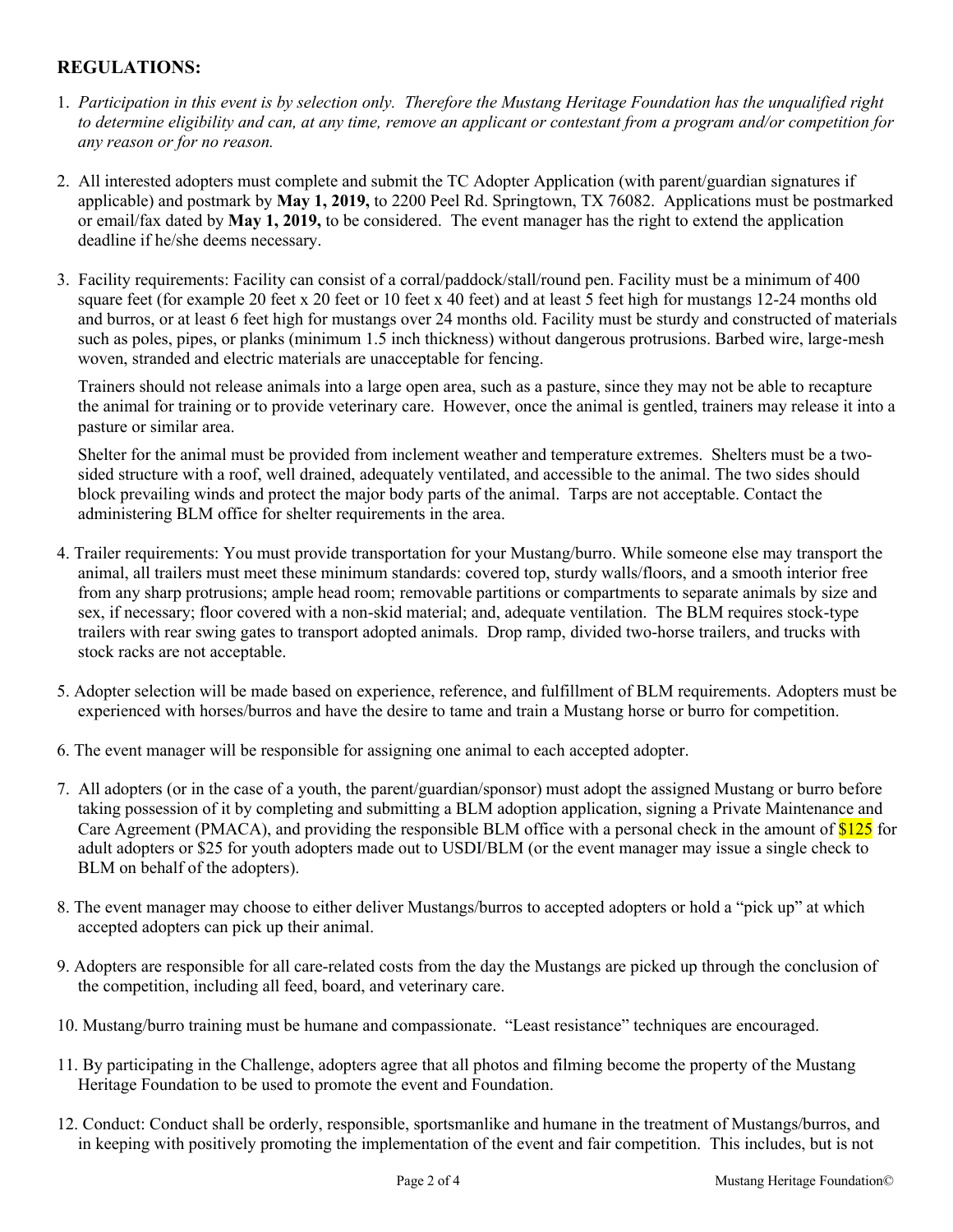# **REGULATIONS:**

- 1. *Participation in this event is by selection only. Therefore the Mustang Heritage Foundation has the unqualified right to determine eligibility and can, at any time, remove an applicant or contestant from a program and/or competition for any reason or for no reason.*
- 2. All interested adopters must complete and submit the TC Adopter Application (with parent/guardian signatures if applicable) and postmark by **May 1, 2019,** to 2200 Peel Rd. Springtown, TX 76082. Applications must be postmarked or email/fax dated by **May 1, 2019,** to be considered. The event manager has the right to extend the application deadline if he/she deems necessary.
- 3. Facility requirements: Facility can consist of a corral/paddock/stall/round pen. Facility must be a minimum of 400 square feet (for example 20 feet x 20 feet or 10 feet x 40 feet) and at least 5 feet high for mustangs 12-24 months old and burros, or at least 6 feet high for mustangs over 24 months old. Facility must be sturdy and constructed of materials such as poles, pipes, or planks (minimum 1.5 inch thickness) without dangerous protrusions. Barbed wire, large-mesh woven, stranded and electric materials are unacceptable for fencing.

Trainers should not release animals into a large open area, such as a pasture, since they may not be able to recapture the animal for training or to provide veterinary care. However, once the animal is gentled, trainers may release it into a pasture or similar area.

Shelter for the animal must be provided from inclement weather and temperature extremes. Shelters must be a twosided structure with a roof, well drained, adequately ventilated, and accessible to the animal. The two sides should block prevailing winds and protect the major body parts of the animal. Tarps are not acceptable. Contact the administering BLM office for shelter requirements in the area.

- 4. Trailer requirements: You must provide transportation for your Mustang/burro. While someone else may transport the animal, all trailers must meet these minimum standards: covered top, sturdy walls/floors, and a smooth interior free from any sharp protrusions; ample head room; removable partitions or compartments to separate animals by size and sex, if necessary; floor covered with a non-skid material; and, adequate ventilation. The BLM requires stock-type trailers with rear swing gates to transport adopted animals. Drop ramp, divided two-horse trailers, and trucks with stock racks are not acceptable.
- 5. Adopter selection will be made based on experience, reference, and fulfillment of BLM requirements. Adopters must be experienced with horses/burros and have the desire to tame and train a Mustang horse or burro for competition.
- 6. The event manager will be responsible for assigning one animal to each accepted adopter.
- 7. All adopters (or in the case of a youth, the parent/guardian/sponsor) must adopt the assigned Mustang or burro before taking possession of it by completing and submitting a BLM adoption application, signing a Private Maintenance and Care Agreement (PMACA), and providing the responsible BLM office with a personal check in the amount of \$125 for adult adopters or \$25 for youth adopters made out to USDI/BLM (or the event manager may issue a single check to BLM on behalf of the adopters).
- 8. The event manager may choose to either deliver Mustangs/burros to accepted adopters or hold a "pick up" at which accepted adopters can pick up their animal.
- 9. Adopters are responsible for all care-related costs from the day the Mustangs are picked up through the conclusion of the competition, including all feed, board, and veterinary care.
- 10. Mustang/burro training must be humane and compassionate. "Least resistance" techniques are encouraged.
- 11. By participating in the Challenge, adopters agree that all photos and filming become the property of the Mustang Heritage Foundation to be used to promote the event and Foundation.
- 12. Conduct: Conduct shall be orderly, responsible, sportsmanlike and humane in the treatment of Mustangs/burros, and in keeping with positively promoting the implementation of the event and fair competition. This includes, but is not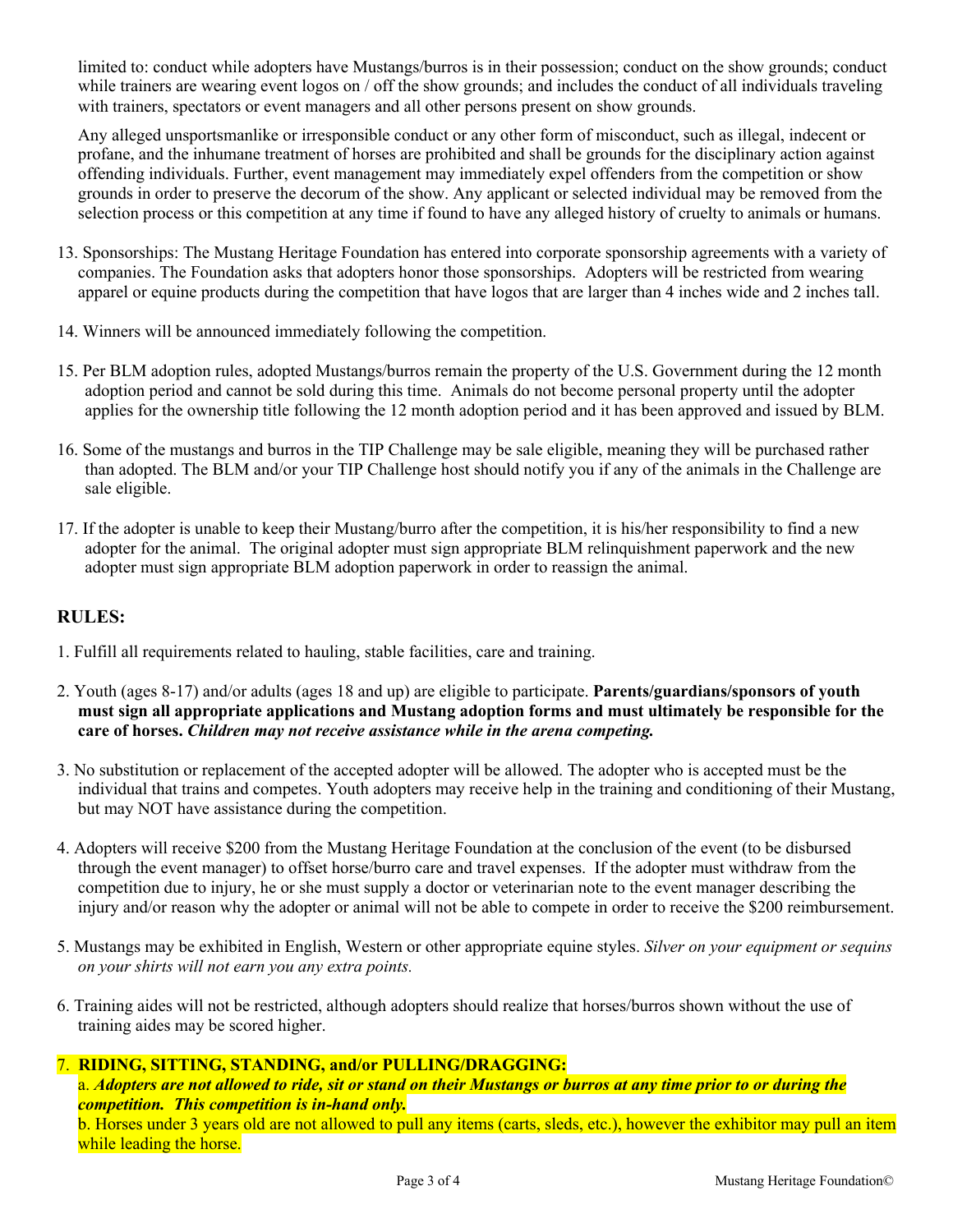limited to: conduct while adopters have Mustangs/burros is in their possession; conduct on the show grounds; conduct while trainers are wearing event logos on / off the show grounds; and includes the conduct of all individuals traveling with trainers, spectators or event managers and all other persons present on show grounds.

Any alleged unsportsmanlike or irresponsible conduct or any other form of misconduct, such as illegal, indecent or profane, and the inhumane treatment of horses are prohibited and shall be grounds for the disciplinary action against offending individuals. Further, event management may immediately expel offenders from the competition or show grounds in order to preserve the decorum of the show. Any applicant or selected individual may be removed from the selection process or this competition at any time if found to have any alleged history of cruelty to animals or humans.

- 13. Sponsorships: The Mustang Heritage Foundation has entered into corporate sponsorship agreements with a variety of companies. The Foundation asks that adopters honor those sponsorships. Adopters will be restricted from wearing apparel or equine products during the competition that have logos that are larger than 4 inches wide and 2 inches tall.
- 14. Winners will be announced immediately following the competition.
- 15. Per BLM adoption rules, adopted Mustangs/burros remain the property of the U.S. Government during the 12 month adoption period and cannot be sold during this time. Animals do not become personal property until the adopter applies for the ownership title following the 12 month adoption period and it has been approved and issued by BLM.
- 16. Some of the mustangs and burros in the TIP Challenge may be sale eligible, meaning they will be purchased rather than adopted. The BLM and/or your TIP Challenge host should notify you if any of the animals in the Challenge are sale eligible.
- 17. If the adopter is unable to keep their Mustang/burro after the competition, it is his/her responsibility to find a new adopter for the animal. The original adopter must sign appropriate BLM relinquishment paperwork and the new adopter must sign appropriate BLM adoption paperwork in order to reassign the animal.

## **RULES:**

- 1. Fulfill all requirements related to hauling, stable facilities, care and training.
- 2. Youth (ages 8-17) and/or adults (ages 18 and up) are eligible to participate. **Parents/guardians/sponsors of youth must sign all appropriate applications and Mustang adoption forms and must ultimately be responsible for the care of horses.** *Children may not receive assistance while in the arena competing.*
- 3. No substitution or replacement of the accepted adopter will be allowed. The adopter who is accepted must be the individual that trains and competes. Youth adopters may receive help in the training and conditioning of their Mustang, but may NOT have assistance during the competition.
- 4. Adopters will receive \$200 from the Mustang Heritage Foundation at the conclusion of the event (to be disbursed through the event manager) to offset horse/burro care and travel expenses. If the adopter must withdraw from the competition due to injury, he or she must supply a doctor or veterinarian note to the event manager describing the injury and/or reason why the adopter or animal will not be able to compete in order to receive the \$200 reimbursement.
- 5. Mustangs may be exhibited in English, Western or other appropriate equine styles. *Silver on your equipment or sequins on your shirts will not earn you any extra points.*
- 6. Training aides will not be restricted, although adopters should realize that horses/burros shown without the use of training aides may be scored higher.

### 7. **RIDING, SITTING, STANDING, and/or PULLING/DRAGGING:**

a. *Adopters are not allowed to ride, sit or stand on their Mustangs or burros at any time prior to or during the competition. This competition is in-hand only.* b. Horses under 3 years old are not allowed to pull any items (carts, sleds, etc.), however the exhibitor may pull an item while leading the horse.